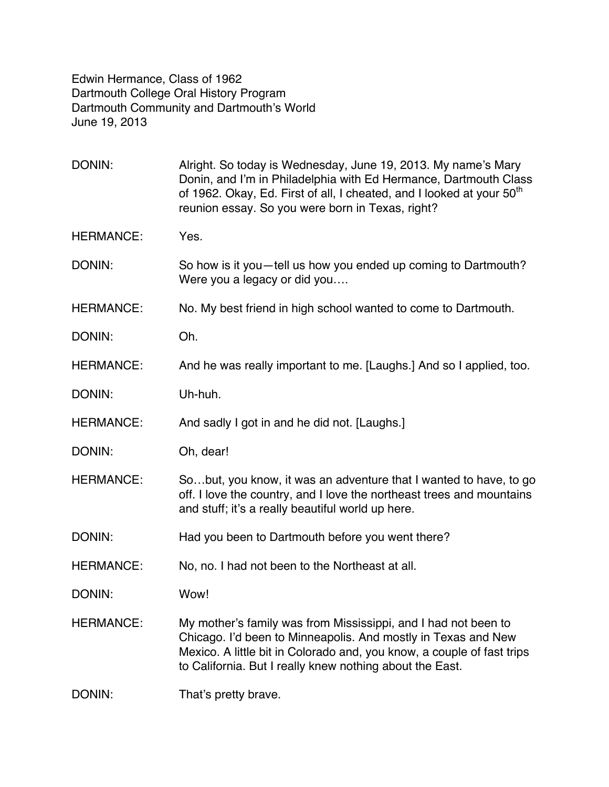Edwin Hermance, Class of 1962 Dartmouth College Oral History Program Dartmouth Community and Dartmouth's World June 19, 2013

DONIN: Alright. So today is Wednesday, June 19, 2013. My name's Mary Donin, and I'm in Philadelphia with Ed Hermance, Dartmouth Class of 1962. Okay, Ed. First of all, I cheated, and I looked at your 50<sup>th</sup> reunion essay. So you were born in Texas, right? HERMANCE: Yes. DONIN: So how is it you—tell us how you ended up coming to Dartmouth? Were you a legacy or did you…. HERMANCE: No. My best friend in high school wanted to come to Dartmouth. DONIN: Oh. HERMANCE: And he was really important to me. [Laughs.] And so I applied, too. DONIN: Uh-huh. HERMANCE: And sadly I got in and he did not. [Laughs.] DONIN: Oh, dear! HERMANCE: So…but, you know, it was an adventure that I wanted to have, to go off. I love the country, and I love the northeast trees and mountains and stuff; it's a really beautiful world up here. DONIN: Had you been to Dartmouth before you went there? HERMANCE: No, no. I had not been to the Northeast at all. DONIN: Wow! HERMANCE: My mother's family was from Mississippi, and I had not been to Chicago. I'd been to Minneapolis. And mostly in Texas and New Mexico. A little bit in Colorado and, you know, a couple of fast trips to California. But I really knew nothing about the East. DONIN: That's pretty brave.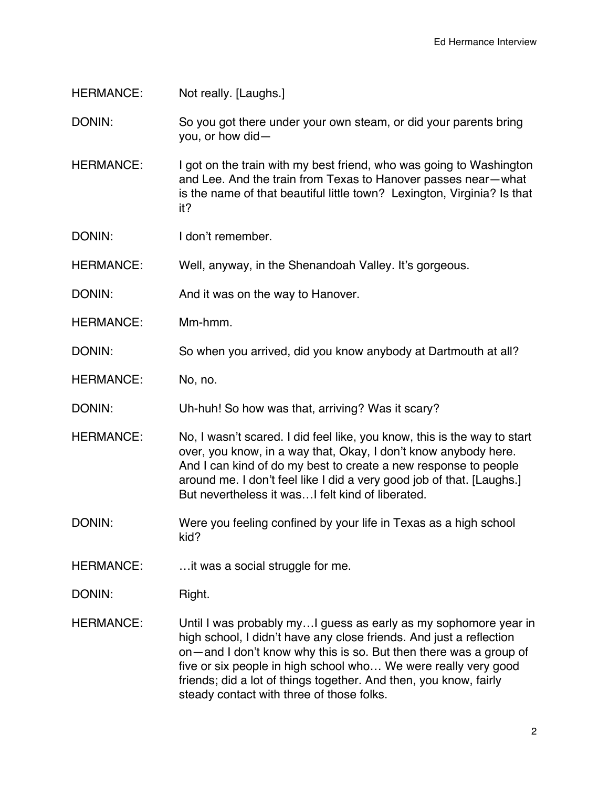HERMANCE: Not really. [Laughs.]

DONIN: So you got there under your own steam, or did your parents bring you, or how did—

HERMANCE: I got on the train with my best friend, who was going to Washington and Lee. And the train from Texas to Hanover passes near—what is the name of that beautiful little town? Lexington, Virginia? Is that it?

DONIN: I don't remember.

HERMANCE: Well, anyway, in the Shenandoah Valley. It's gorgeous.

DONIN: And it was on the way to Hanover.

HERMANCE: Mm-hmm.

DONIN: So when you arrived, did you know anybody at Dartmouth at all?

HERMANCE: No, no.

DONIN: Uh-huh! So how was that, arriving? Was it scary?

HERMANCE: No, I wasn't scared. I did feel like, you know, this is the way to start over, you know, in a way that, Okay, I don't know anybody here. And I can kind of do my best to create a new response to people around me. I don't feel like I did a very good job of that. [Laughs.] But nevertheless it was…I felt kind of liberated.

DONIN: Were you feeling confined by your life in Texas as a high school kid?

HERMANCE: ...it was a social struggle for me.

DONIN: Right.

HERMANCE: Until I was probably my...I guess as early as my sophomore year in high school, I didn't have any close friends. And just a reflection on—and I don't know why this is so. But then there was a group of five or six people in high school who… We were really very good friends; did a lot of things together. And then, you know, fairly steady contact with three of those folks.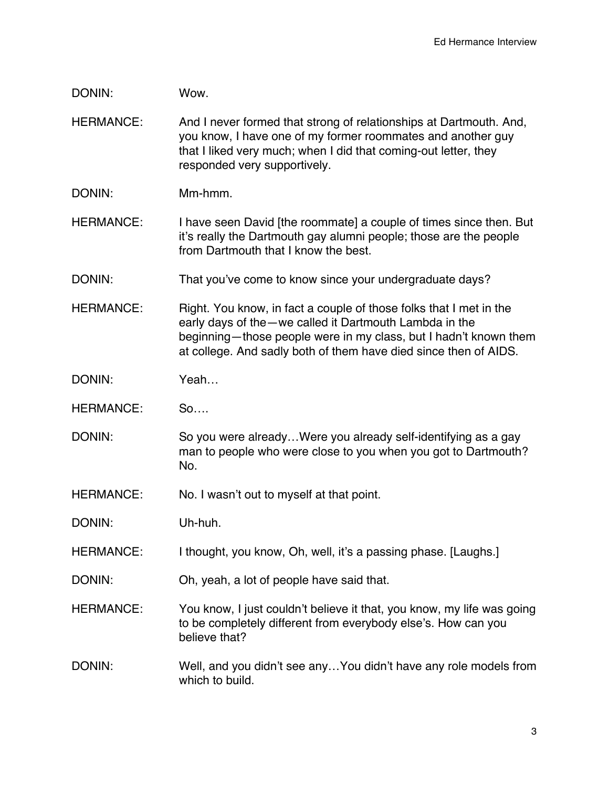DONIN: Wow.

HERMANCE: And I never formed that strong of relationships at Dartmouth. And, you know, I have one of my former roommates and another guy that I liked very much; when I did that coming-out letter, they responded very supportively.

DONIN: Mm-hmm.

HERMANCE: I have seen David [the roommate] a couple of times since then. But it's really the Dartmouth gay alumni people; those are the people from Dartmouth that I know the best.

DONIN: That you've come to know since your undergraduate days?

HERMANCE: Right. You know, in fact a couple of those folks that I met in the early days of the—we called it Dartmouth Lambda in the beginning—those people were in my class, but I hadn't known them at college. And sadly both of them have died since then of AIDS.

DONIN: Yeah...

HERMANCE: So….

DONIN: So you were already...Were you already self-identifying as a gay man to people who were close to you when you got to Dartmouth? No.

HERMANCE: No. I wasn't out to myself at that point.

DONIN: Uh-huh.

HERMANCE: I thought, you know, Oh, well, it's a passing phase. [Laughs.]

DONIN: Oh, yeah, a lot of people have said that.

HERMANCE: You know, I just couldn't believe it that, you know, my life was going to be completely different from everybody else's. How can you believe that?

DONIN: Well, and you didn't see any...You didn't have any role models from which to build.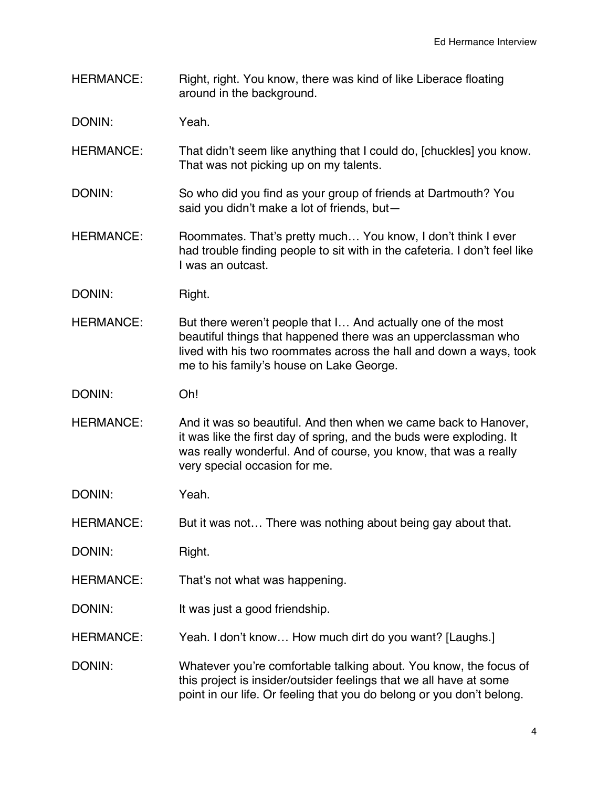HERMANCE: Right, right. You know, there was kind of like Liberace floating around in the background.

DONIN: Yeah.

- HERMANCE: That didn't seem like anything that I could do, [chuckles] you know. That was not picking up on my talents.
- DONIN: So who did you find as your group of friends at Dartmouth? You said you didn't make a lot of friends, but—
- HERMANCE: Roommates. That's pretty much... You know, I don't think I ever had trouble finding people to sit with in the cafeteria. I don't feel like I was an outcast.
- DONIN: Right.
- HERMANCE: But there weren't people that I... And actually one of the most beautiful things that happened there was an upperclassman who lived with his two roommates across the hall and down a ways, took me to his family's house on Lake George.
- DONIN: Oh!
- HERMANCE: And it was so beautiful. And then when we came back to Hanover, it was like the first day of spring, and the buds were exploding. It was really wonderful. And of course, you know, that was a really very special occasion for me.
- DONIN: Yeah.
- HERMANCE: But it was not... There was nothing about being gay about that.
- DONIN: Right.
- HERMANCE: That's not what was happening.
- DONIN: It was just a good friendship.
- HERMANCE: Yeah. I don't know... How much dirt do you want? [Laughs.]
- DONIN: Whatever you're comfortable talking about. You know, the focus of this project is insider/outsider feelings that we all have at some point in our life. Or feeling that you do belong or you don't belong.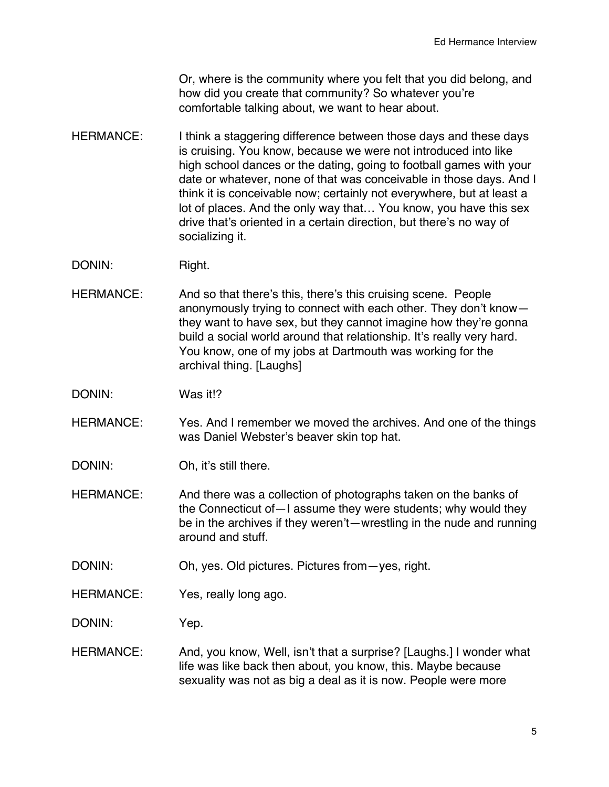Or, where is the community where you felt that you did belong, and how did you create that community? So whatever you're comfortable talking about, we want to hear about.

- HERMANCE: I think a staggering difference between those days and these days is cruising. You know, because we were not introduced into like high school dances or the dating, going to football games with your date or whatever, none of that was conceivable in those days. And I think it is conceivable now; certainly not everywhere, but at least a lot of places. And the only way that… You know, you have this sex drive that's oriented in a certain direction, but there's no way of socializing it.
- DONIN: Right.
- HERMANCE: And so that there's this, there's this cruising scene. People anonymously trying to connect with each other. They don't know they want to have sex, but they cannot imagine how they're gonna build a social world around that relationship. It's really very hard. You know, one of my jobs at Dartmouth was working for the archival thing. [Laughs]
- DONIN: Was it!?
- HERMANCE: Yes. And I remember we moved the archives. And one of the things was Daniel Webster's beaver skin top hat.
- DONIN: Oh, it's still there.
- HERMANCE: And there was a collection of photographs taken on the banks of the Connecticut of—I assume they were students; why would they be in the archives if they weren't—wrestling in the nude and running around and stuff.
- DONIN: Oh, yes. Old pictures. Pictures from yes, right.
- HERMANCE: Yes, really long ago.

DONIN: Yep.

HERMANCE: And, you know, Well, isn't that a surprise? [Laughs.] I wonder what life was like back then about, you know, this. Maybe because sexuality was not as big a deal as it is now. People were more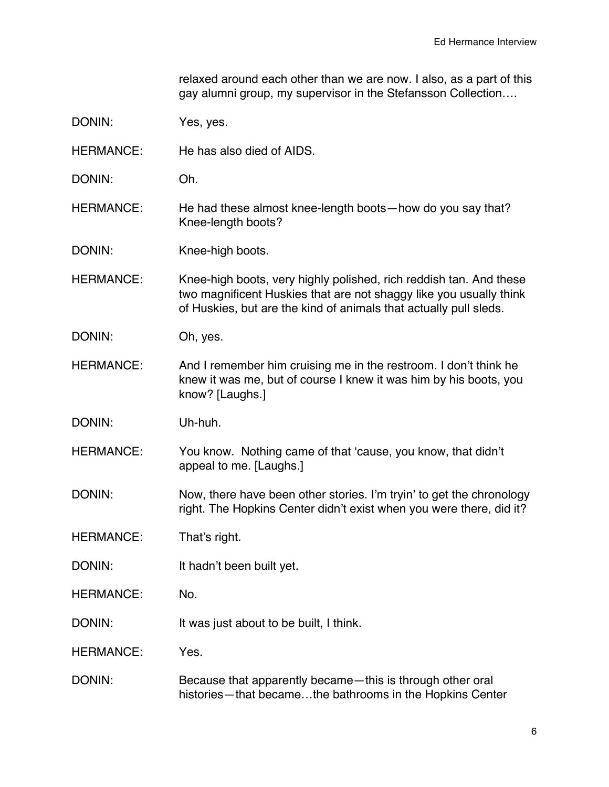relaxed around each other than we are now. I also, as a part of this gay alumni group, my supervisor in the Stefansson Collection….

- DONIN: Yes, yes.
- HERMANCE: He has also died of AIDS.
- DONIN: Oh.
- HERMANCE: He had these almost knee-length boots—how do you say that? Knee-length boots?

DONIN: Knee-high boots.

HERMANCE: Knee-high boots, very highly polished, rich reddish tan. And these two magnificent Huskies that are not shaggy like you usually think of Huskies, but are the kind of animals that actually pull sleds.

- DONIN: Oh, yes.
- HERMANCE: And I remember him cruising me in the restroom. I don't think he knew it was me, but of course I knew it was him by his boots, you know? [Laughs.]
- DONIN: Uh-huh.
- HERMANCE: You know. Nothing came of that 'cause, you know, that didn't appeal to me. [Laughs.]
- DONIN: Now, there have been other stories. I'm tryin' to get the chronology right. The Hopkins Center didn't exist when you were there, did it?

HERMANCE: That's right.

- DONIN: It hadn't been built yet.
- HERMANCE: No.
- DONIN: It was just about to be built, I think.

HERMANCE: Yes.

DONIN: Because that apparently became—this is through other oral histories—that became…the bathrooms in the Hopkins Center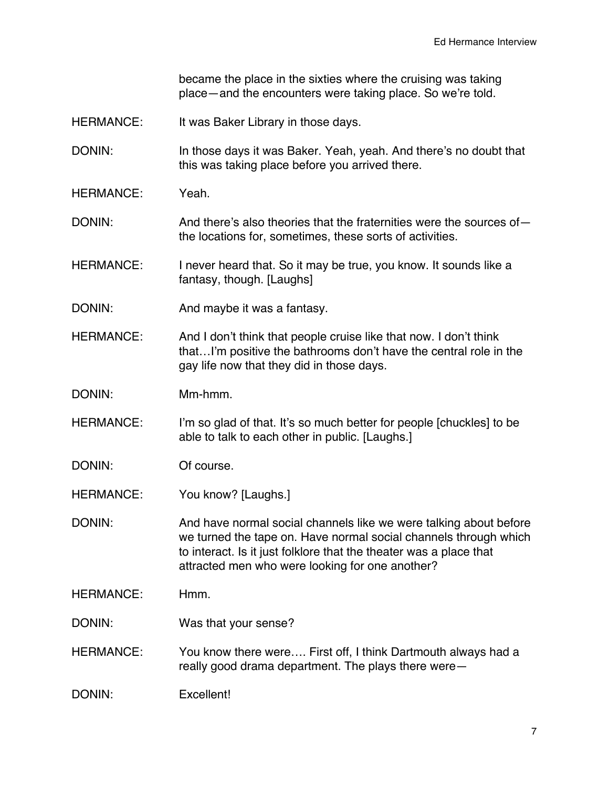became the place in the sixties where the cruising was taking place—and the encounters were taking place. So we're told.

HERMANCE: It was Baker Library in those days.

DONIN: In those days it was Baker. Yeah, yeah. And there's no doubt that this was taking place before you arrived there.

- HERMANCE: Yeah.
- DONIN: And there's also theories that the fraternities were the sources ofthe locations for, sometimes, these sorts of activities.
- HERMANCE: I never heard that. So it may be true, you know. It sounds like a fantasy, though. [Laughs]
- DONIN: And maybe it was a fantasy.
- HERMANCE: And I don't think that people cruise like that now. I don't think that…I'm positive the bathrooms don't have the central role in the gay life now that they did in those days.
- DONIN: Mm-hmm.
- HERMANCE: I'm so glad of that. It's so much better for people [chuckles] to be able to talk to each other in public. [Laughs.]
- DONIN: Of course.
- HERMANCE: You know? [Laughs.]
- DONIN: And have normal social channels like we were talking about before we turned the tape on. Have normal social channels through which to interact. Is it just folklore that the theater was a place that attracted men who were looking for one another?
- HERMANCE: Hmm.
- DONIN: Was that your sense?
- HERMANCE: You know there were…. First off, I think Dartmouth always had a really good drama department. The plays there were—
- DONIN: Excellent!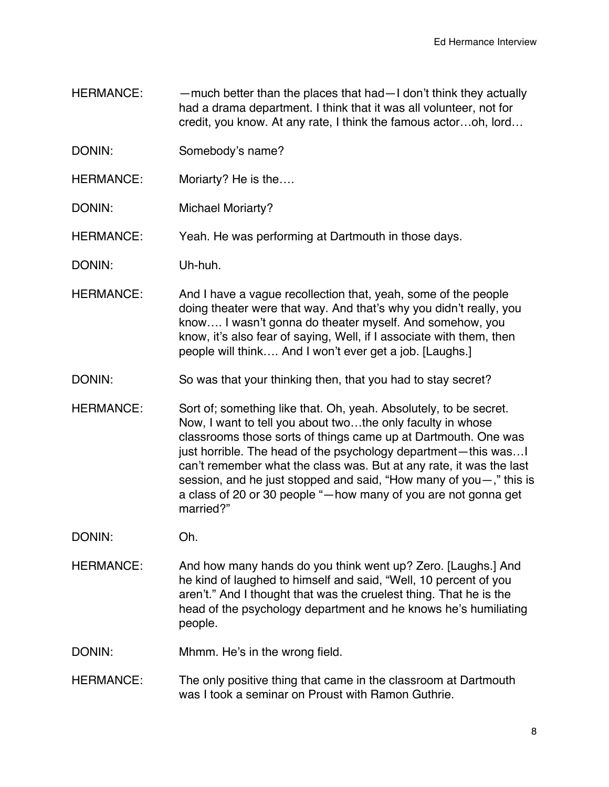- HERMANCE: — much better than the places that had—I don't think they actually had a drama department. I think that it was all volunteer, not for credit, you know. At any rate, I think the famous actor…oh, lord…
- DONIN: Somebody's name?
- HERMANCE: Moriarty? He is the….
- DONIN: Michael Moriarty?

HERMANCE: Yeah. He was performing at Dartmouth in those days.

- DONIN: Uh-huh.
- HERMANCE: And I have a vague recollection that, yeah, some of the people doing theater were that way. And that's why you didn't really, you know…. I wasn't gonna do theater myself. And somehow, you know, it's also fear of saying, Well, if I associate with them, then people will think…. And I won't ever get a job. [Laughs.]
- DONIN: So was that your thinking then, that you had to stay secret?
- HERMANCE: Sort of; something like that. Oh, yeah. Absolutely, to be secret. Now, I want to tell you about two…the only faculty in whose classrooms those sorts of things came up at Dartmouth. One was just horrible. The head of the psychology department—this was…I can't remember what the class was. But at any rate, it was the last session, and he just stopped and said, "How many of you—," this is a class of 20 or 30 people "—how many of you are not gonna get married?"
- DONIN: Oh.
- HERMANCE: And how many hands do you think went up? Zero. [Laughs.] And he kind of laughed to himself and said, "Well, 10 percent of you aren't." And I thought that was the cruelest thing. That he is the head of the psychology department and he knows he's humiliating people.

DONIN: Mhmm. He's in the wrong field.

HERMANCE: The only positive thing that came in the classroom at Dartmouth was I took a seminar on Proust with Ramon Guthrie.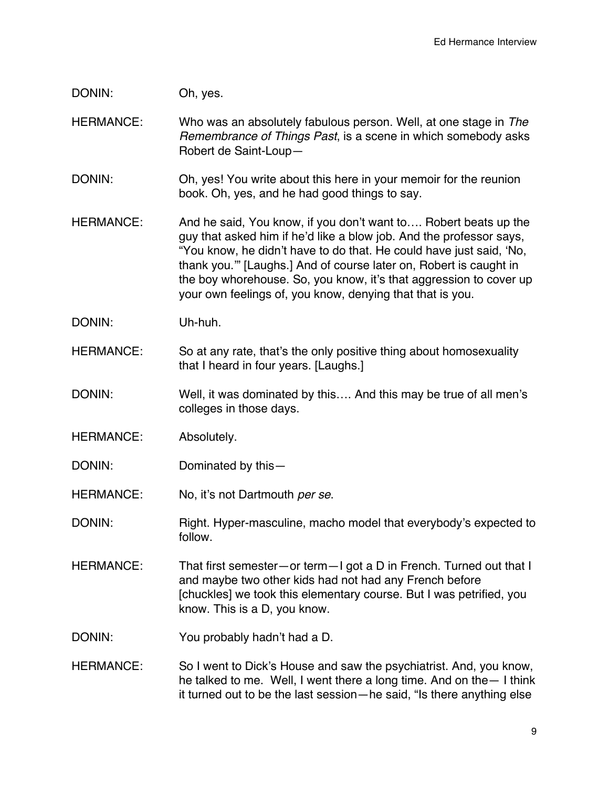## DONIN: Oh, yes.

HERMANCE: Who was an absolutely fabulous person. Well, at one stage in *The Remembrance of Things Past*, is a scene in which somebody asks Robert de Saint-Loup—

- DONIN: Oh, yes! You write about this here in your memoir for the reunion book. Oh, yes, and he had good things to say.
- HERMANCE: And he said, You know, if you don't want to.... Robert beats up the guy that asked him if he'd like a blow job. And the professor says, "You know, he didn't have to do that. He could have just said, 'No, thank you.'" [Laughs.] And of course later on, Robert is caught in the boy whorehouse. So, you know, it's that aggression to cover up your own feelings of, you know, denying that that is you.
- DONIN: Uh-huh.
- HERMANCE: So at any rate, that's the only positive thing about homosexuality that I heard in four years. [Laughs.]
- DONIN: Well, it was dominated by this.... And this may be true of all men's colleges in those days.
- HERMANCE: Absolutely.
- DONIN: Dominated by this-
- HERMANCE: No, it's not Dartmouth *per se*.
- DONIN: Right. Hyper-masculine, macho model that everybody's expected to follow.
- HERMANCE: That first semester—or term—I got a D in French. Turned out that I and maybe two other kids had not had any French before [chuckles] we took this elementary course. But I was petrified, you know. This is a D, you know.
- DONIN: You probably hadn't had a D.
- HERMANCE: So I went to Dick's House and saw the psychiatrist. And, you know, he talked to me. Well, I went there a long time. And on the— I think it turned out to be the last session—he said, "Is there anything else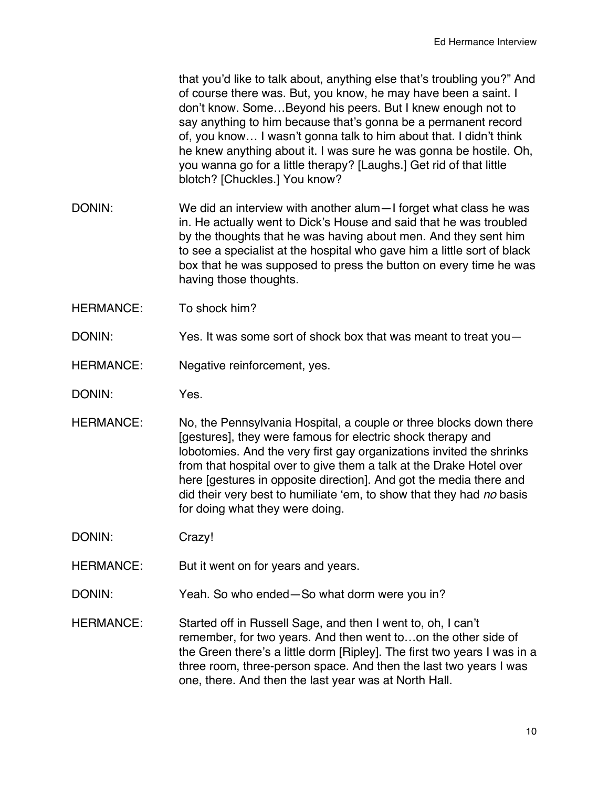that you'd like to talk about, anything else that's troubling you?" And of course there was. But, you know, he may have been a saint. I don't know. Some…Beyond his peers. But I knew enough not to say anything to him because that's gonna be a permanent record of, you know… I wasn't gonna talk to him about that. I didn't think he knew anything about it. I was sure he was gonna be hostile. Oh, you wanna go for a little therapy? [Laughs.] Get rid of that little blotch? [Chuckles.] You know?

- DONIN: We did an interview with another alum—I forget what class he was in. He actually went to Dick's House and said that he was troubled by the thoughts that he was having about men. And they sent him to see a specialist at the hospital who gave him a little sort of black box that he was supposed to press the button on every time he was having those thoughts.
- HERMANCE: To shock him?
- DONIN: Yes. It was some sort of shock box that was meant to treat you-
- HERMANCE: Negative reinforcement, yes.
- DONIN: Yes.
- HERMANCE: No, the Pennsylvania Hospital, a couple or three blocks down there [gestures], they were famous for electric shock therapy and lobotomies. And the very first gay organizations invited the shrinks from that hospital over to give them a talk at the Drake Hotel over here [gestures in opposite direction]. And got the media there and did their very best to humiliate 'em, to show that they had *no* basis for doing what they were doing.

DONIN: Crazy!

- HERMANCE: But it went on for years and years.
- DONIN: Yeah. So who ended—So what dorm were you in?
- HERMANCE: Started off in Russell Sage, and then I went to, oh, I can't remember, for two years. And then went to…on the other side of the Green there's a little dorm [Ripley]. The first two years I was in a three room, three-person space. And then the last two years I was one, there. And then the last year was at North Hall.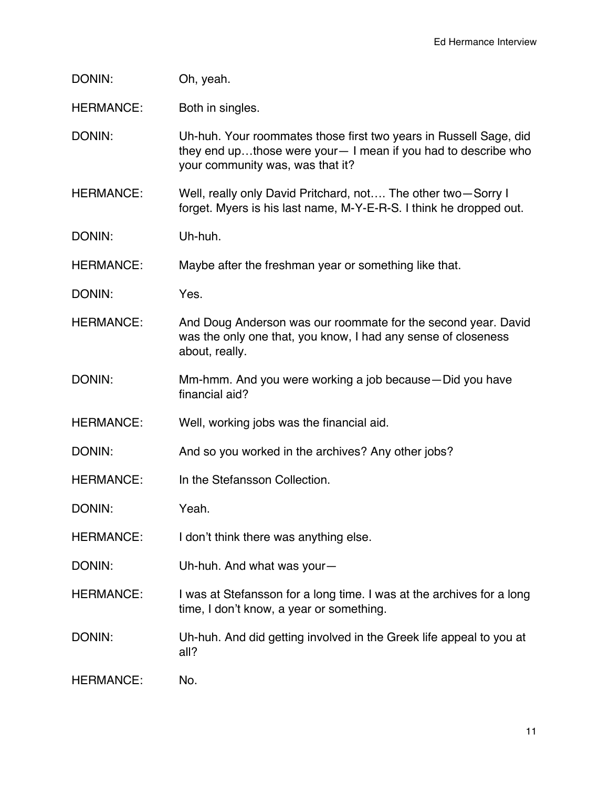| DONIN: | Oh, yeah. |
|--------|-----------|
|--------|-----------|

HERMANCE: Both in singles.

DONIN: Uh-huh. Your roommates those first two years in Russell Sage, did they end up…those were your— I mean if you had to describe who your community was, was that it?

- HERMANCE: Well, really only David Pritchard, not…. The other two—Sorry I forget. Myers is his last name, M-Y-E-R-S. I think he dropped out.
- DONIN: Uh-huh.

HERMANCE: Maybe after the freshman year or something like that.

- DONIN: Yes.
- HERMANCE: And Doug Anderson was our roommate for the second year. David was the only one that, you know, I had any sense of closeness about, really.
- DONIN: Mm-hmm. And you were working a job because—Did you have financial aid?
- HERMANCE: Well, working jobs was the financial aid.
- DONIN: And so you worked in the archives? Any other jobs?
- HERMANCE: In the Stefansson Collection.

DONIN: Yeah.

- HERMANCE: I don't think there was anything else.
- DONIN: Uh-huh. And what was your—
- HERMANCE: I was at Stefansson for a long time. I was at the archives for a long time, I don't know, a year or something.
- DONIN: Uh-huh. And did getting involved in the Greek life appeal to you at all?
- HERMANCE: No.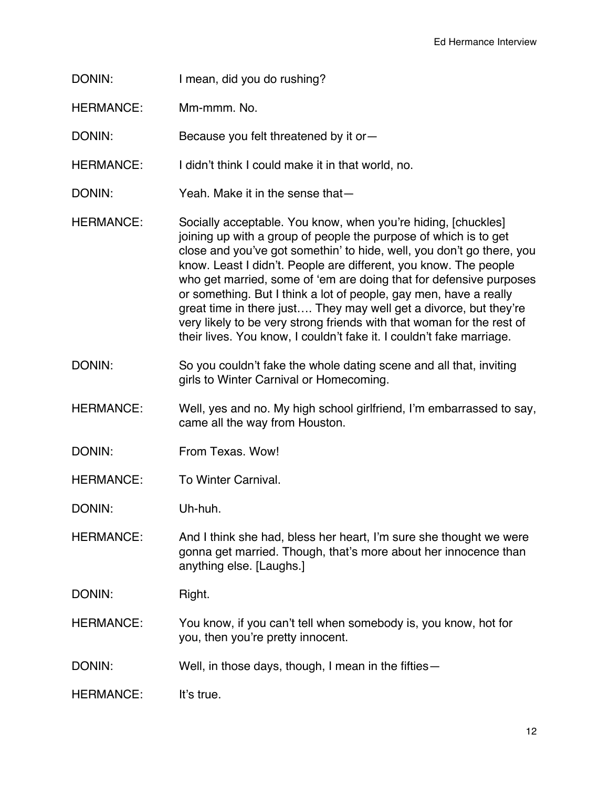- DONIN: I mean, did you do rushing?
- HERMANCE: Mm-mmm. No.
- DONIN: Because you felt threatened by it or-
- HERMANCE: I didn't think I could make it in that world, no.
- DONIN: Yeah. Make it in the sense that—
- HERMANCE: Socially acceptable. You know, when you're hiding, [chuckles] joining up with a group of people the purpose of which is to get close and you've got somethin' to hide, well, you don't go there, you know. Least I didn't. People are different, you know. The people who get married, some of 'em are doing that for defensive purposes or something. But I think a lot of people, gay men, have a really great time in there just…. They may well get a divorce, but they're very likely to be very strong friends with that woman for the rest of their lives. You know, I couldn't fake it. I couldn't fake marriage.
- DONIN: So you couldn't fake the whole dating scene and all that, inviting girls to Winter Carnival or Homecoming.
- HERMANCE: Well, yes and no. My high school girlfriend, I'm embarrassed to say, came all the way from Houston.
- DONIN: From Texas. Wow!
- HERMANCE: To Winter Carnival.

DONIN: Uh-huh.

- HERMANCE: And I think she had, bless her heart, I'm sure she thought we were gonna get married. Though, that's more about her innocence than anything else. [Laughs.]
- DONIN: Right.
- HERMANCE: You know, if you can't tell when somebody is, you know, hot for you, then you're pretty innocent.
- DONIN: Well, in those days, though, I mean in the fifties-
- HERMANCE: It's true.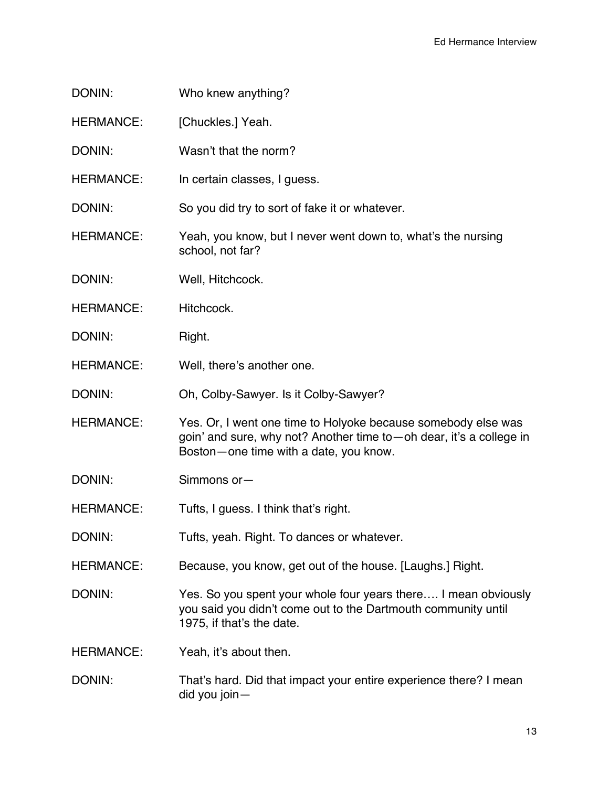- DONIN: Who knew anything?
- HERMANCE: [Chuckles.] Yeah.
- DONIN: Wasn't that the norm?
- HERMANCE: In certain classes, I guess.

DONIN: So you did try to sort of fake it or whatever.

- HERMANCE: Yeah, you know, but I never went down to, what's the nursing school, not far?
- DONIN: Well, Hitchcock.
- HERMANCE: Hitchcock.
- DONIN: Right.
- HERMANCE: Well, there's another one.
- DONIN: Oh, Colby-Sawyer. Is it Colby-Sawyer?
- HERMANCE: Yes. Or, I went one time to Holyoke because somebody else was goin' and sure, why not? Another time to—oh dear, it's a college in Boston—one time with a date, you know.
- DONIN: Simmons or—
- HERMANCE: Tufts, I guess. I think that's right.
- DONIN: Tufts, yeah. Right. To dances or whatever.
- HERMANCE: Because, you know, get out of the house. [Laughs.] Right.
- DONIN: Yes. So you spent your whole four years there.... I mean obviously you said you didn't come out to the Dartmouth community until 1975, if that's the date.
- HERMANCE: Yeah, it's about then.
- DONIN: That's hard. Did that impact your entire experience there? I mean did you join—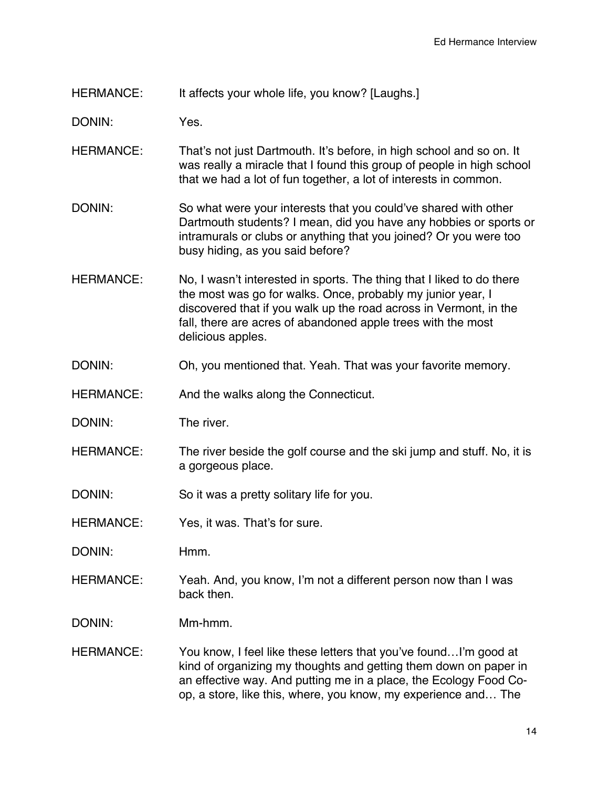## HERMANCE: It affects your whole life, you know? [Laughs.]

DONIN: Yes.

- HERMANCE: That's not just Dartmouth. It's before, in high school and so on. It was really a miracle that I found this group of people in high school that we had a lot of fun together, a lot of interests in common.
- DONIN: So what were your interests that you could've shared with other Dartmouth students? I mean, did you have any hobbies or sports or intramurals or clubs or anything that you joined? Or you were too busy hiding, as you said before?
- HERMANCE: No, I wasn't interested in sports. The thing that I liked to do there the most was go for walks. Once, probably my junior year, I discovered that if you walk up the road across in Vermont, in the fall, there are acres of abandoned apple trees with the most delicious apples.
- DONIN: Oh, you mentioned that. Yeah. That was your favorite memory.
- HERMANCE: And the walks along the Connecticut.
- DONIN: The river.
- HERMANCE: The river beside the golf course and the ski jump and stuff. No, it is a gorgeous place.
- DONIN: So it was a pretty solitary life for you.
- HERMANCE: Yes, it was. That's for sure.
- DONIN: Hmm.
- HERMANCE: Yeah. And, you know, I'm not a different person now than I was back then.
- DONIN: Mm-hmm.
- HERMANCE: You know, I feel like these letters that you've found...I'm good at kind of organizing my thoughts and getting them down on paper in an effective way. And putting me in a place, the Ecology Food Coop, a store, like this, where, you know, my experience and… The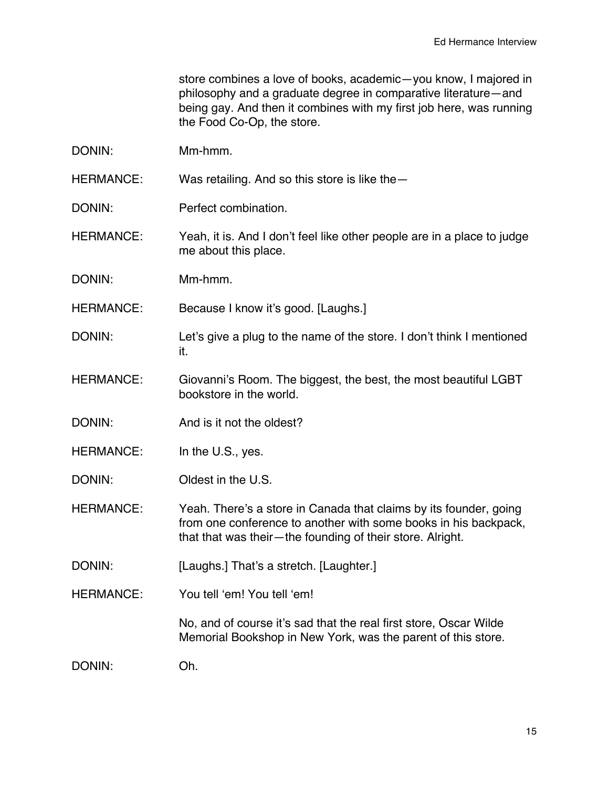store combines a love of books, academic—you know, I majored in philosophy and a graduate degree in comparative literature—and being gay. And then it combines with my first job here, was running the Food Co-Op, the store.

DONIN: Mm-hmm.

HERMANCE: Was retailing. And so this store is like the -

DONIN: Perfect combination.

HERMANCE: Yeah, it is. And I don't feel like other people are in a place to judge me about this place.

DONIN: Mm-hmm.

HERMANCE: Because I know it's good. [Laughs.]

- DONIN: Let's give a plug to the name of the store. I don't think I mentioned it.
- HERMANCE: Giovanni's Room. The biggest, the best, the most beautiful LGBT bookstore in the world.
- DONIN: And is it not the oldest?
- HERMANCE: In the U.S., yes.
- DONIN: Oldest in the U.S.
- HERMANCE: Yeah. There's a store in Canada that claims by its founder, going from one conference to another with some books in his backpack, that that was their—the founding of their store. Alright.
- DONIN: [Laughs.] That's a stretch. [Laughter.]
- HERMANCE: You tell 'em! You tell 'em!

No, and of course it's sad that the real first store, Oscar Wilde Memorial Bookshop in New York, was the parent of this store.

DONIN: Oh.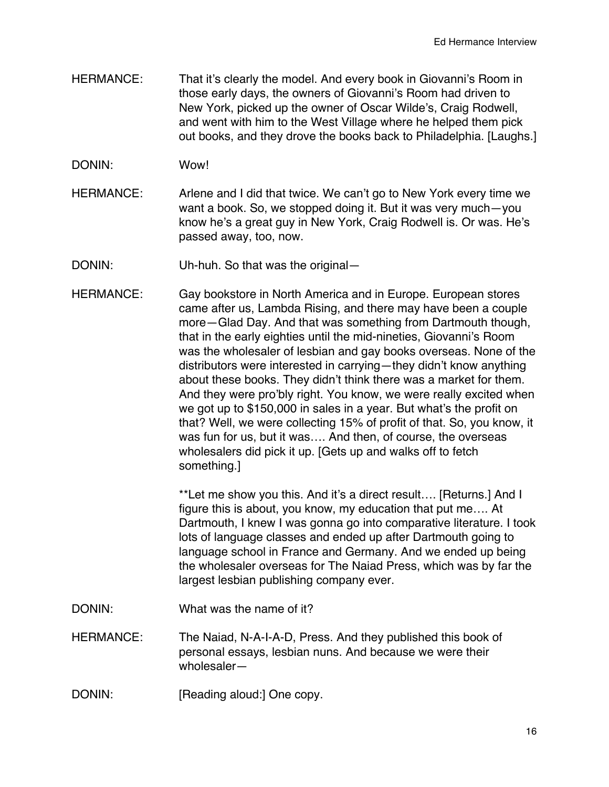- HERMANCE: That it's clearly the model. And every book in Giovanni's Room in those early days, the owners of Giovanni's Room had driven to New York, picked up the owner of Oscar Wilde's, Craig Rodwell, and went with him to the West Village where he helped them pick out books, and they drove the books back to Philadelphia. [Laughs.]
- DONIN: Wow!
- HERMANCE: Arlene and I did that twice. We can't go to New York every time we want a book. So, we stopped doing it. But it was very much—you know he's a great guy in New York, Craig Rodwell is. Or was. He's passed away, too, now.
- DONIN: Uh-huh. So that was the original-
- HERMANCE: Gay bookstore in North America and in Europe. European stores came after us, Lambda Rising, and there may have been a couple more—Glad Day. And that was something from Dartmouth though, that in the early eighties until the mid-nineties, Giovanni's Room was the wholesaler of lesbian and gay books overseas. None of the distributors were interested in carrying—they didn't know anything about these books. They didn't think there was a market for them. And they were pro'bly right. You know, we were really excited when we got up to \$150,000 in sales in a year. But what's the profit on that? Well, we were collecting 15% of profit of that. So, you know, it was fun for us, but it was…. And then, of course, the overseas wholesalers did pick it up. [Gets up and walks off to fetch something.]

\*\*Let me show you this. And it's a direct result…. [Returns.] And I figure this is about, you know, my education that put me…. At Dartmouth, I knew I was gonna go into comparative literature. I took lots of language classes and ended up after Dartmouth going to language school in France and Germany. And we ended up being the wholesaler overseas for The Naiad Press, which was by far the largest lesbian publishing company ever.

- DONIN: What was the name of it?
- HERMANCE: The Naiad, N-A-I-A-D, Press. And they published this book of personal essays, lesbian nuns. And because we were their wholesaler—
- DONIN: [Reading aloud:] One copy.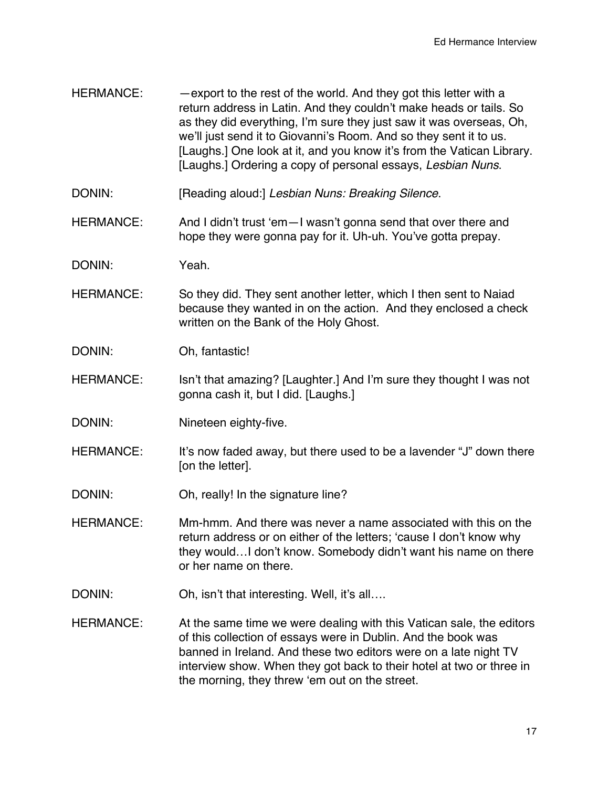- HERMANCE: —export to the rest of the world. And they got this letter with a return address in Latin. And they couldn't make heads or tails. So as they did everything, I'm sure they just saw it was overseas, Oh, we'll just send it to Giovanni's Room. And so they sent it to us. [Laughs.] One look at it, and you know it's from the Vatican Library. [Laughs.] Ordering a copy of personal essays, *Lesbian Nuns*.
- DONIN: [Reading aloud:] *Lesbian Nuns: Breaking Silence*.
- HERMANCE: And I didn't trust 'em-I wasn't gonna send that over there and hope they were gonna pay for it. Uh-uh. You've gotta prepay.
- DONIN: Yeah.
- HERMANCE: So they did. They sent another letter, which I then sent to Naiad because they wanted in on the action. And they enclosed a check written on the Bank of the Holy Ghost.
- DONIN: Oh, fantastic!
- HERMANCE: Isn't that amazing? [Laughter.] And I'm sure they thought I was not gonna cash it, but I did. [Laughs.]
- DONIN: Nineteen eighty-five.
- HERMANCE: It's now faded away, but there used to be a lavender "J" down there [on the letter].
- DONIN: Oh, really! In the signature line?
- HERMANCE: Mm-hmm. And there was never a name associated with this on the return address or on either of the letters; 'cause I don't know why they would…I don't know. Somebody didn't want his name on there or her name on there.
- DONIN: Oh, isn't that interesting. Well, it's all....
- HERMANCE: At the same time we were dealing with this Vatican sale, the editors of this collection of essays were in Dublin. And the book was banned in Ireland. And these two editors were on a late night TV interview show. When they got back to their hotel at two or three in the morning, they threw 'em out on the street.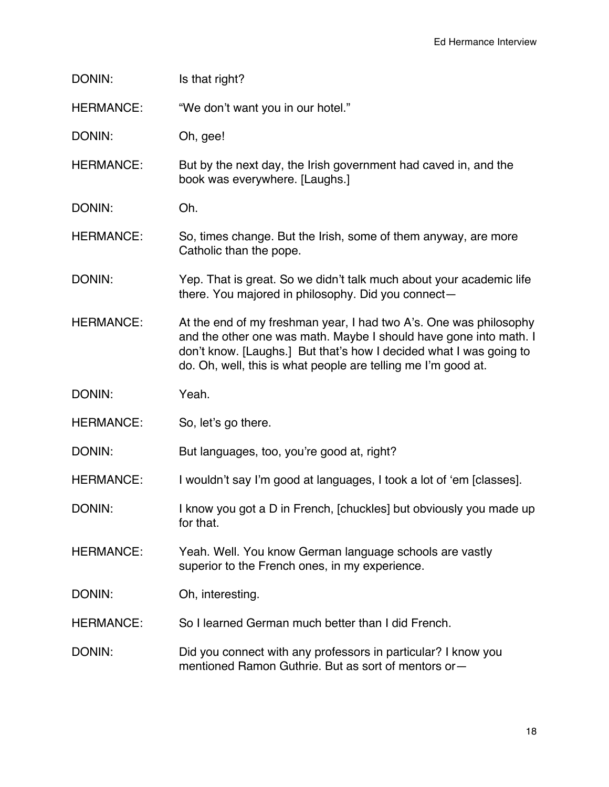| DONIN:           | Is that right?                                                                                                                                                                                                                                                                |
|------------------|-------------------------------------------------------------------------------------------------------------------------------------------------------------------------------------------------------------------------------------------------------------------------------|
| <b>HERMANCE:</b> | "We don't want you in our hotel."                                                                                                                                                                                                                                             |
| DONIN:           | Oh, gee!                                                                                                                                                                                                                                                                      |
| <b>HERMANCE:</b> | But by the next day, the Irish government had caved in, and the<br>book was everywhere. [Laughs.]                                                                                                                                                                             |
| DONIN:           | Oh.                                                                                                                                                                                                                                                                           |
| <b>HERMANCE:</b> | So, times change. But the Irish, some of them anyway, are more<br>Catholic than the pope.                                                                                                                                                                                     |
| DONIN:           | Yep. That is great. So we didn't talk much about your academic life<br>there. You majored in philosophy. Did you connect-                                                                                                                                                     |
| <b>HERMANCE:</b> | At the end of my freshman year, I had two A's. One was philosophy<br>and the other one was math. Maybe I should have gone into math. I<br>don't know. [Laughs.] But that's how I decided what I was going to<br>do. Oh, well, this is what people are telling me I'm good at. |
|                  |                                                                                                                                                                                                                                                                               |
| DONIN:           | Yeah.                                                                                                                                                                                                                                                                         |
| <b>HERMANCE:</b> | So, let's go there.                                                                                                                                                                                                                                                           |
| DONIN:           | But languages, too, you're good at, right?                                                                                                                                                                                                                                    |
| <b>HERMANCE:</b> | I wouldn't say I'm good at languages, I took a lot of 'em [classes].                                                                                                                                                                                                          |
| DONIN:           | I know you got a D in French, [chuckles] but obviously you made up<br>for that.                                                                                                                                                                                               |
| <b>HERMANCE:</b> | Yeah. Well. You know German language schools are vastly<br>superior to the French ones, in my experience.                                                                                                                                                                     |
| DONIN:           | Oh, interesting.                                                                                                                                                                                                                                                              |
| <b>HERMANCE:</b> | So I learned German much better than I did French.                                                                                                                                                                                                                            |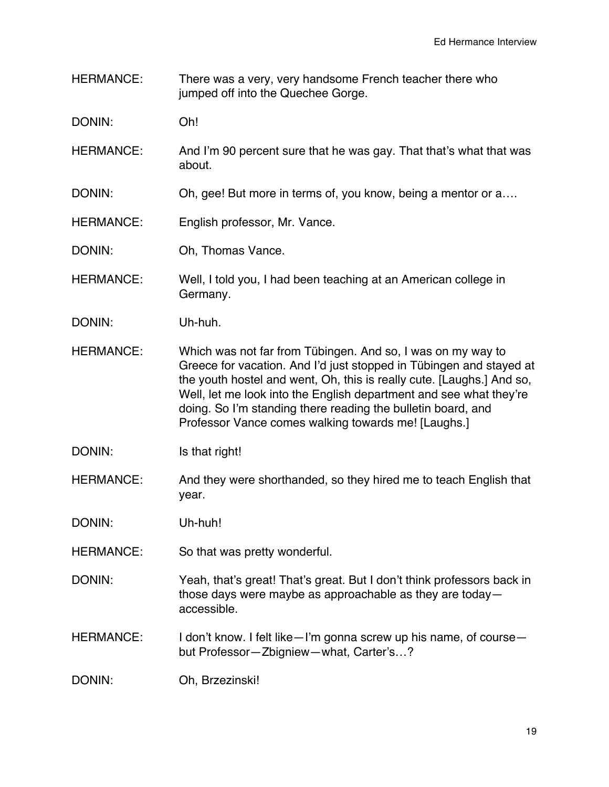HERMANCE: There was a very, very handsome French teacher there who jumped off into the Quechee Gorge.

DONIN: Oh!

- HERMANCE: And I'm 90 percent sure that he was gay. That that's what that was about.
- DONIN: Oh, gee! But more in terms of, you know, being a mentor or a....
- HERMANCE: English professor, Mr. Vance.
- DONIN: Oh, Thomas Vance.
- HERMANCE: Well, I told you, I had been teaching at an American college in Germany.
- DONIN: Uh-huh.
- HERMANCE: Which was not far from Tübingen. And so, I was on my way to Greece for vacation. And I'd just stopped in Tübingen and stayed at the youth hostel and went, Oh, this is really cute. [Laughs.] And so, Well, let me look into the English department and see what they're doing. So I'm standing there reading the bulletin board, and Professor Vance comes walking towards me! [Laughs.]
- DONIN: Is that right!
- HERMANCE: And they were shorthanded, so they hired me to teach English that year.

DONIN: Uh-huh!

- HERMANCE: So that was pretty wonderful.
- DONIN: Yeah, that's great! That's great. But I don't think professors back in those days were maybe as approachable as they are today accessible.
- HERMANCE: I don't know. I felt like—I'm gonna screw up his name, of course but Professor—Zbigniew—what, Carter's…?

DONIN: Oh, Brzezinski!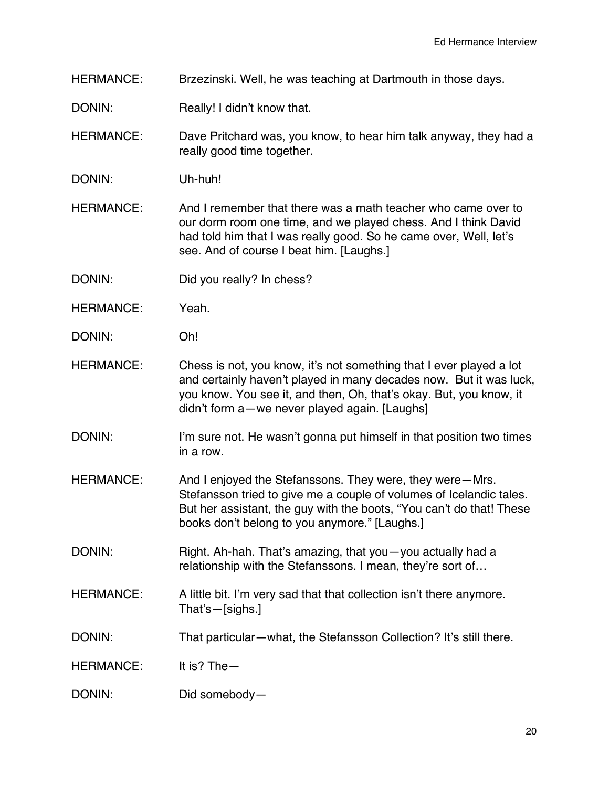- HERMANCE: Brzezinski. Well, he was teaching at Dartmouth in those days.
- DONIN: Really! I didn't know that.
- HERMANCE: Dave Pritchard was, you know, to hear him talk anyway, they had a really good time together.
- DONIN: Uh-huh!
- HERMANCE: And I remember that there was a math teacher who came over to our dorm room one time, and we played chess. And I think David had told him that I was really good. So he came over, Well, let's see. And of course I beat him. [Laughs.]
- DONIN: Did you really? In chess?
- HERMANCE: Yeah.
- DONIN: Oh!
- HERMANCE: Chess is not, you know, it's not something that I ever played a lot and certainly haven't played in many decades now. But it was luck, you know. You see it, and then, Oh, that's okay. But, you know, it didn't form a—we never played again. [Laughs]
- DONIN: I'm sure not. He wasn't gonna put himself in that position two times in a row.
- HERMANCE: And I enjoyed the Stefanssons. They were, they were—Mrs. Stefansson tried to give me a couple of volumes of Icelandic tales. But her assistant, the guy with the boots, "You can't do that! These books don't belong to you anymore." [Laughs.]
- DONIN: Right. Ah-hah. That's amazing, that you you actually had a relationship with the Stefanssons. I mean, they're sort of…
- HERMANCE: A little bit. I'm very sad that that collection isn't there anymore. That's—[sighs.]
- DONIN: That particular—what, the Stefansson Collection? It's still there.
- HERMANCE: It is? The—
- DONIN: Did somebody—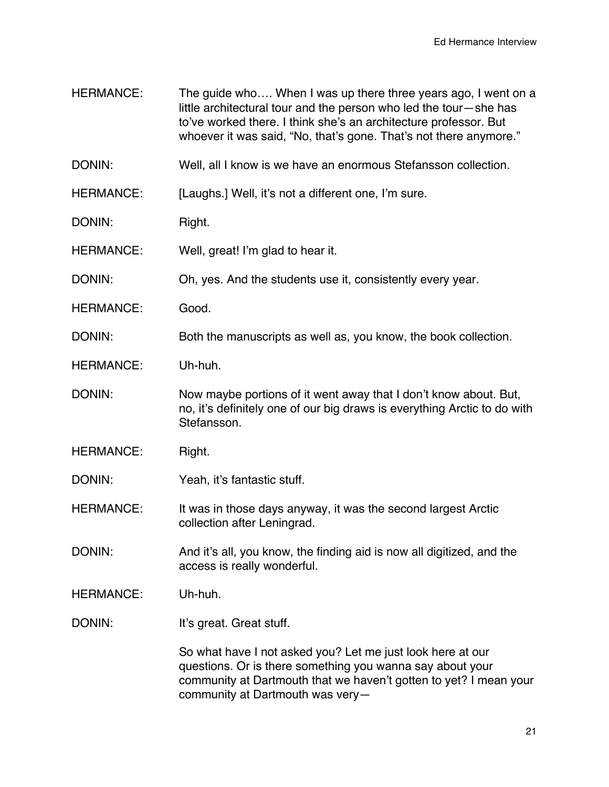HERMANCE: The quide who.... When I was up there three years ago, I went on a little architectural tour and the person who led the tour—she has to've worked there. I think she's an architecture professor. But whoever it was said, "No, that's gone. That's not there anymore." DONIN: Well, all I know is we have an enormous Stefansson collection. HERMANCE: [Laughs.] Well, it's not a different one, I'm sure. DONIN: Right. HERMANCE: Well, great! I'm glad to hear it. DONIN: Oh, yes. And the students use it, consistently every year. HERMANCE: Good. DONIN: Both the manuscripts as well as, you know, the book collection. HERMANCE: Uh-huh. DONIN: Now maybe portions of it went away that I don't know about. But, no, it's definitely one of our big draws is everything Arctic to do with Stefansson. HERMANCE: Right. DONIN: Yeah, it's fantastic stuff. HERMANCE: It was in those days anyway, it was the second largest Arctic collection after Leningrad. DONIN: And it's all, you know, the finding aid is now all digitized, and the access is really wonderful. HERMANCE: Uh-huh. DONIN: It's great. Great stuff. So what have I not asked you? Let me just look here at our questions. Or is there something you wanna say about your community at Dartmouth that we haven't gotten to yet? I mean your community at Dartmouth was very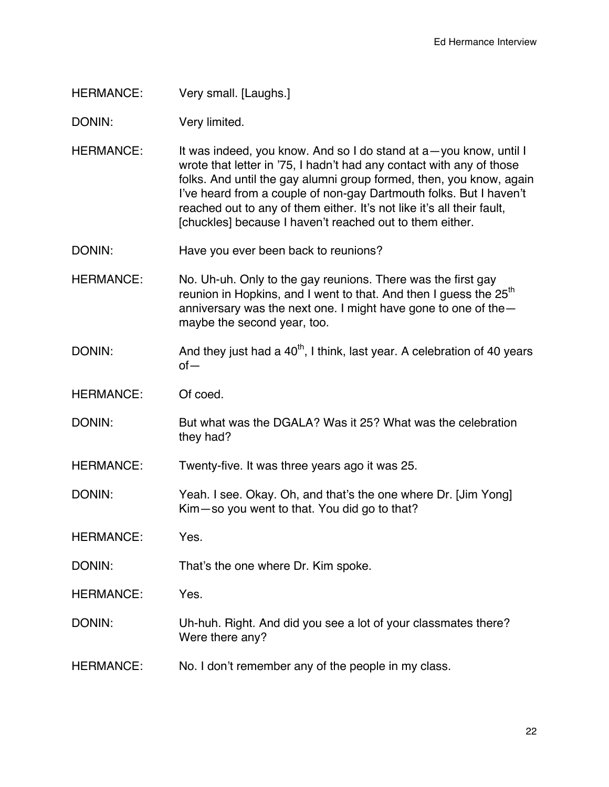HERMANCE: Very small. [Laughs.]

DONIN: Very limited.

- HERMANCE: It was indeed, you know. And so I do stand at a -you know, until I wrote that letter in '75, I hadn't had any contact with any of those folks. And until the gay alumni group formed, then, you know, again I've heard from a couple of non-gay Dartmouth folks. But I haven't reached out to any of them either. It's not like it's all their fault, [chuckles] because I haven't reached out to them either.
- DONIN: Have you ever been back to reunions?
- HERMANCE: No. Uh-uh. Only to the gay reunions. There was the first gay reunion in Hopkins, and I went to that. And then I quess the  $25<sup>th</sup>$ anniversary was the next one. I might have gone to one of the maybe the second year, too.
- DONIN: And they just had a  $40<sup>th</sup>$ , I think, last year. A celebration of 40 years of—
- HERMANCE: Of coed.
- DONIN: But what was the DGALA? Was it 25? What was the celebration they had?

HERMANCE: Twenty-five. It was three years ago it was 25.

DONIN: Yeah. I see. Okay. Oh, and that's the one where Dr. [Jim Yong] Kim—so you went to that. You did go to that?

HERMANCE: Yes.

- DONIN: That's the one where Dr. Kim spoke.
- HERMANCE: Yes.
- DONIN: Uh-huh. Right. And did you see a lot of your classmates there? Were there any?
- HERMANCE: No. I don't remember any of the people in my class.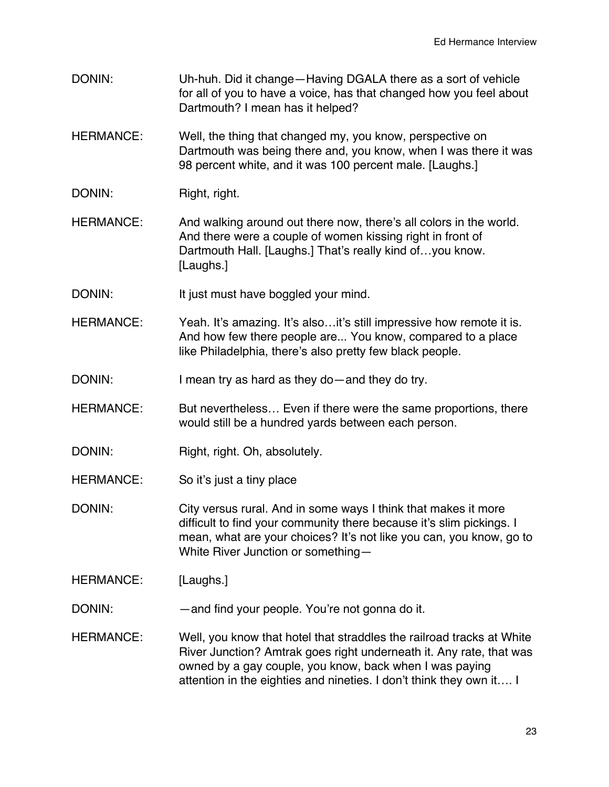- DONIN: Uh-huh. Did it change—Having DGALA there as a sort of vehicle for all of you to have a voice, has that changed how you feel about Dartmouth? I mean has it helped?
- HERMANCE: Well, the thing that changed my, you know, perspective on Dartmouth was being there and, you know, when I was there it was 98 percent white, and it was 100 percent male. [Laughs.]
- DONIN: Right, right.
- HERMANCE: And walking around out there now, there's all colors in the world. And there were a couple of women kissing right in front of Dartmouth Hall. [Laughs.] That's really kind of...you know. [Laughs.]
- DONIN: It just must have boggled your mind.
- HERMANCE: Yeah. It's amazing. It's also...it's still impressive how remote it is. And how few there people are... You know, compared to a place like Philadelphia, there's also pretty few black people.
- DONIN: I mean try as hard as they do—and they do try.
- HERMANCE: But nevertheless… Even if there were the same proportions, there would still be a hundred yards between each person.
- DONIN: Right, right. Oh, absolutely.
- HERMANCE: So it's just a tiny place
- DONIN: City versus rural. And in some ways I think that makes it more difficult to find your community there because it's slim pickings. I mean, what are your choices? It's not like you can, you know, go to White River Junction or something—
- HERMANCE: [Laughs.]
- DONIN: —and find your people. You're not gonna do it.
- HERMANCE: Well, you know that hotel that straddles the railroad tracks at White River Junction? Amtrak goes right underneath it. Any rate, that was owned by a gay couple, you know, back when I was paying attention in the eighties and nineties. I don't think they own it…. I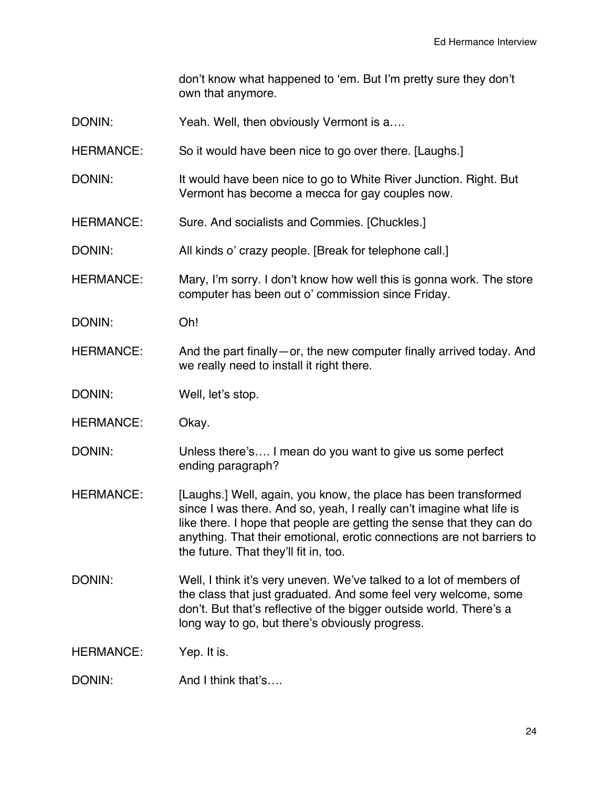don't know what happened to 'em. But I'm pretty sure they don't own that anymore.

- DONIN: Yeah. Well, then obviously Vermont is a....
- HERMANCE: So it would have been nice to go over there. [Laughs.]
- DONIN: It would have been nice to go to White River Junction. Right. But Vermont has become a mecca for gay couples now.
- HERMANCE: Sure. And socialists and Commies. [Chuckles.]
- DONIN: All kinds o' crazy people. [Break for telephone call.]
- HERMANCE: Mary, I'm sorry. I don't know how well this is gonna work. The store computer has been out o' commission since Friday.
- DONIN: Oh!
- HERMANCE: And the part finally—or, the new computer finally arrived today. And we really need to install it right there.
- DONIN: Well, let's stop.
- HERMANCE: Okay.
- DONIN: Unless there's.... I mean do you want to give us some perfect ending paragraph?
- HERMANCE: [Laughs.] Well, again, you know, the place has been transformed since I was there. And so, yeah, I really can't imagine what life is like there. I hope that people are getting the sense that they can do anything. That their emotional, erotic connections are not barriers to the future. That they'll fit in, too.
- DONIN: Well, I think it's very uneven. We've talked to a lot of members of the class that just graduated. And some feel very welcome, some don't. But that's reflective of the bigger outside world. There's a long way to go, but there's obviously progress.
- HERMANCE: Yep. It is.
- DONIN: And I think that's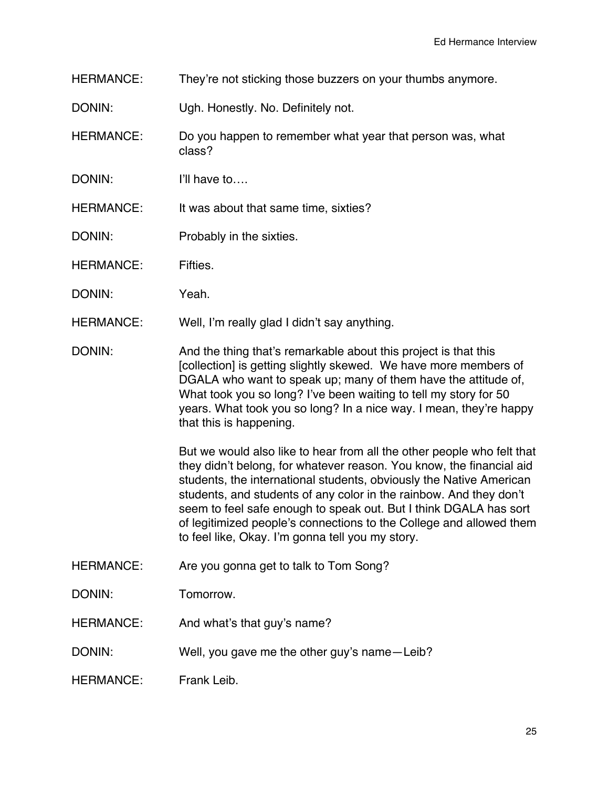HERMANCE: They're not sticking those buzzers on your thumbs anymore.

DONIN: Ugh. Honestly. No. Definitely not.

- HERMANCE: Do you happen to remember what year that person was, what class?
- DONIN: I'll have to....
- HERMANCE: It was about that same time, sixties?
- DONIN: Probably in the sixties.
- HERMANCE: Fifties.
- DONIN: Yeah.
- HERMANCE: Well, I'm really glad I didn't say anything.
- DONIN: And the thing that's remarkable about this project is that this [collection] is getting slightly skewed. We have more members of DGALA who want to speak up; many of them have the attitude of, What took you so long? I've been waiting to tell my story for 50 years. What took you so long? In a nice way. I mean, they're happy that this is happening.

But we would also like to hear from all the other people who felt that they didn't belong, for whatever reason. You know, the financial aid students, the international students, obviously the Native American students, and students of any color in the rainbow. And they don't seem to feel safe enough to speak out. But I think DGALA has sort of legitimized people's connections to the College and allowed them to feel like, Okay. I'm gonna tell you my story.

- HERMANCE: Are you gonna get to talk to Tom Song?
- DONIN: Tomorrow.
- HERMANCE: And what's that guy's name?
- DONIN: Well, you gave me the other guy's name—Leib?
- HERMANCE: Frank Leib.